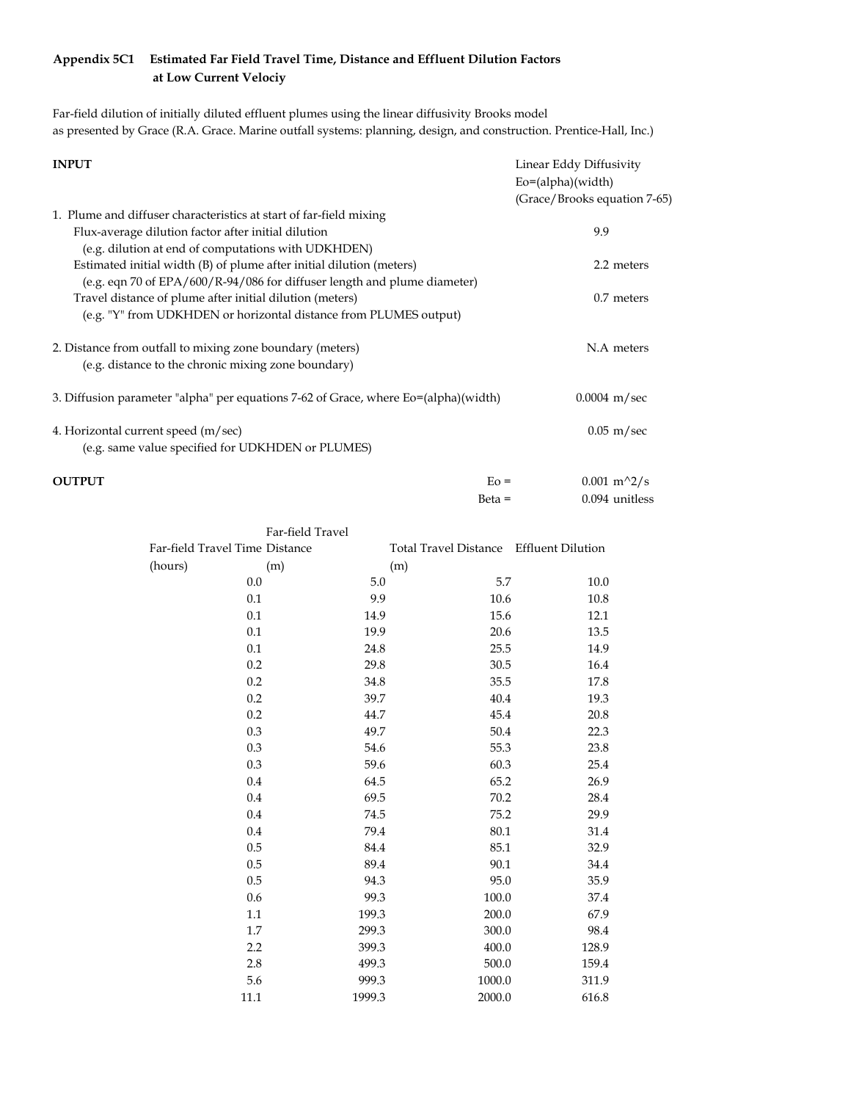## **Appendix 5C1 Estimated Far Field Travel Time, Distance and Effluent Dilution Factors at Low Current Velociy**

Far-field dilution of initially diluted effluent plumes using the linear diffusivity Brooks model as presented by Grace (R.A. Grace. Marine outfall systems: planning, design, and construction. Prentice-Hall, Inc.)

| <b>INPUT</b>                                                                             | Linear Eddy Diffusivity      |  |
|------------------------------------------------------------------------------------------|------------------------------|--|
|                                                                                          | $Eo = (alpha)(width)$        |  |
|                                                                                          | (Grace/Brooks equation 7-65) |  |
| 1. Plume and diffuser characteristics at start of far-field mixing                       |                              |  |
| Flux-average dilution factor after initial dilution                                      | 9.9                          |  |
| (e.g. dilution at end of computations with UDKHDEN)                                      |                              |  |
| Estimated initial width (B) of plume after initial dilution (meters)                     | 2.2 meters                   |  |
| (e.g. eqn 70 of EPA/600/R-94/086 for diffuser length and plume diameter)                 |                              |  |
| Travel distance of plume after initial dilution (meters)                                 | $0.7$ meters                 |  |
| (e.g. "Y" from UDKHDEN or horizontal distance from PLUMES output)                        |                              |  |
| 2. Distance from outfall to mixing zone boundary (meters)                                | N.A meters                   |  |
| (e.g. distance to the chronic mixing zone boundary)                                      |                              |  |
| 3. Diffusion parameter "alpha" per equations 7-62 of Grace, where Eo=(alpha)(width)      | $0.0004 \; \mathrm{m/sec}$   |  |
| 4. Horizontal current speed (m/sec)<br>(e.g. same value specified for UDKHDEN or PLUMES) | $0.05$ m/sec                 |  |
| <b>OUTPUT</b><br>$E_0 =$                                                                 | $0.001 \text{ m}^2/\text{s}$ |  |

| .                              |                                         | $\frac{1}{2}$ $\frac{1}{2}$ $\frac{1}{2}$ |
|--------------------------------|-----------------------------------------|-------------------------------------------|
|                                | $Beta =$                                | 0.094 unitless                            |
| Far-field Travel               |                                         |                                           |
| Far-field Travel Time Distance | Total Travel Distance Effluent Dilution |                                           |

| Far-field Travel Time Distance |      |        | Total Travel Distance Effluent Dilution |       |  |  |
|--------------------------------|------|--------|-----------------------------------------|-------|--|--|
| (hours)                        | (m)  | (m)    |                                         |       |  |  |
|                                | 0.0  | 5.0    | 5.7                                     | 10.0  |  |  |
|                                | 0.1  | 9.9    | 10.6                                    | 10.8  |  |  |
|                                | 0.1  | 14.9   | 15.6                                    | 12.1  |  |  |
|                                | 0.1  | 19.9   | 20.6                                    | 13.5  |  |  |
|                                | 0.1  | 24.8   | 25.5                                    | 14.9  |  |  |
|                                | 0.2  | 29.8   | 30.5                                    | 16.4  |  |  |
|                                | 0.2  | 34.8   | 35.5                                    | 17.8  |  |  |
|                                | 0.2  | 39.7   | 40.4                                    | 19.3  |  |  |
|                                | 0.2  | 44.7   | 45.4                                    | 20.8  |  |  |
|                                | 0.3  | 49.7   | 50.4                                    | 22.3  |  |  |
|                                | 0.3  | 54.6   | 55.3                                    | 23.8  |  |  |
|                                | 0.3  | 59.6   | 60.3                                    | 25.4  |  |  |
|                                | 0.4  | 64.5   | 65.2                                    | 26.9  |  |  |
|                                | 0.4  | 69.5   | 70.2                                    | 28.4  |  |  |
|                                | 0.4  | 74.5   | 75.2                                    | 29.9  |  |  |
|                                | 0.4  | 79.4   | 80.1                                    | 31.4  |  |  |
|                                | 0.5  | 84.4   | 85.1                                    | 32.9  |  |  |
|                                | 0.5  | 89.4   | 90.1                                    | 34.4  |  |  |
|                                | 0.5  | 94.3   | 95.0                                    | 35.9  |  |  |
|                                | 0.6  | 99.3   | 100.0                                   | 37.4  |  |  |
|                                | 1.1  | 199.3  | 200.0                                   | 67.9  |  |  |
|                                | 1.7  | 299.3  | 300.0                                   | 98.4  |  |  |
|                                | 2.2  | 399.3  | 400.0                                   | 128.9 |  |  |
|                                | 2.8  | 499.3  | 500.0                                   | 159.4 |  |  |
|                                | 5.6  | 999.3  | 1000.0                                  | 311.9 |  |  |
|                                | 11.1 | 1999.3 | 2000.0                                  | 616.8 |  |  |